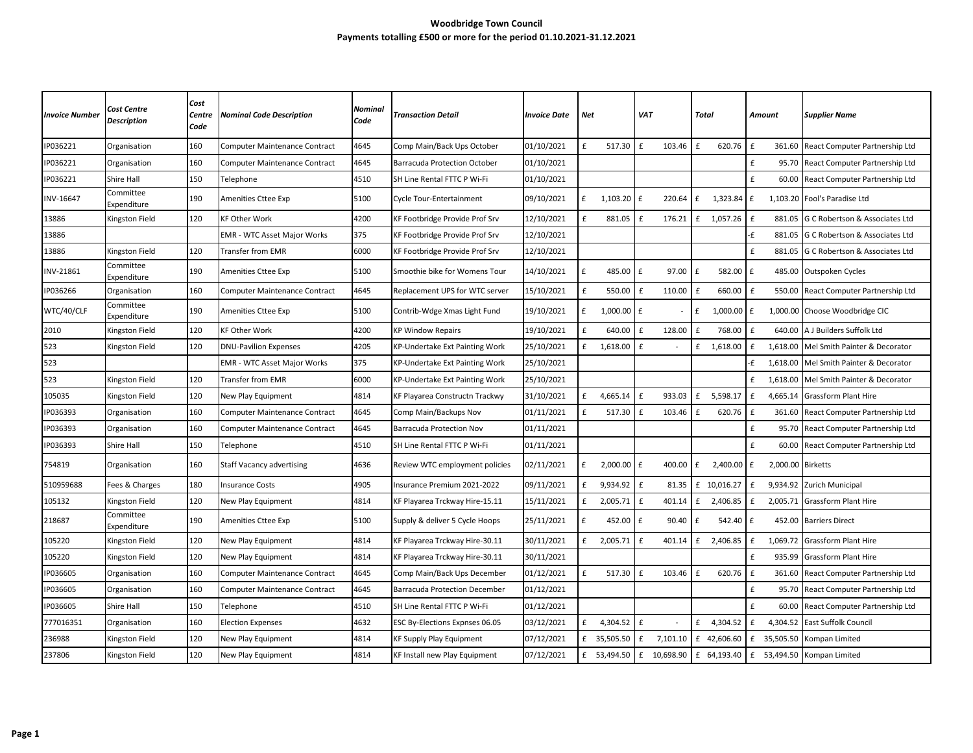## **Woodbridge Town Council Payments totalling £500 or more for the period 01.10.2021-31.12.2021**

| <b>Invoice Number</b> | Cost Centre<br><b>Description</b> | Cost<br>Centre<br>Code | <b>Nominal Code Description</b>      | <b>Nominal</b><br>Code | Transaction Detail                   | <b>Invoice Date</b> | Net |              | <b>VAT</b>     |          | Total |             | Amount       |                   | <b>Supplier Name</b>                 |
|-----------------------|-----------------------------------|------------------------|--------------------------------------|------------------------|--------------------------------------|---------------------|-----|--------------|----------------|----------|-------|-------------|--------------|-------------------|--------------------------------------|
| IP036221              | Organisation                      | 160                    | Computer Maintenance Contract        | 4645                   | Comp Main/Back Ups October           | 01/10/2021          | £   | 517.30       | £              | 103.46   | £     | 620.76      | £            | 361.60            | React Computer Partnership Ltd       |
| IP036221              | Organisation                      | 160                    | <b>Computer Maintenance Contract</b> | 4645                   | Barracuda Protection October         | 01/10/2021          |     |              |                |          |       |             | $\mathbf f$  | 95.70             | React Computer Partnership Ltd       |
| IP036221              | Shire Hall                        | 150                    | Telephone                            | 4510                   | SH Line Rental FTTC P Wi-Fi          | 01/10/2021          |     |              |                |          |       |             | £            |                   | 60.00 React Computer Partnership Ltd |
| INV-16647             | Committee<br>Expenditure          | 190                    | Amenities Cttee Exp                  | 5100                   | Cycle Tour-Entertainment             | 09/10/2021          | £   | $1,103.20$ £ |                | 220.64   | f     | 1,323.84    | £            |                   | 1,103.20 Fool's Paradise Ltd         |
| 13886                 | Kingston Field                    | 120                    | <b>KF Other Work</b>                 | 4200                   | KF Footbridge Provide Prof Srv       | 12/10/2021          | £   | 881.05       | £              | 176.21   | f     | 1,057.26    | $\mathbf f$  | 881.05            | G C Robertson & Associates Ltd       |
| 13886                 |                                   |                        | <b>EMR - WTC Asset Major Works</b>   | 375                    | KF Footbridge Provide Prof Srv       | 12/10/2021          |     |              |                |          |       |             | -£           | 881.05            | G C Robertson & Associates Ltd       |
| 13886                 | Kingston Field                    | 120                    | Transfer from EMR                    | 6000                   | KF Footbridge Provide Prof Srv       | 12/10/2021          |     |              |                |          |       |             | £            | 881.05            | G C Robertson & Associates Ltd       |
| INV-21861             | Committee<br>Expenditure          | 190                    | <b>Amenities Cttee Exp</b>           | 5100                   | Smoothie bike for Womens Tour        | 14/10/2021          | £   | 485.00 £     |                | 97.00    | £     | 582.00      | £            |                   | 485.00 Outspoken Cycles              |
| IP036266              | Organisation                      | 160                    | Computer Maintenance Contract        | 4645                   | Replacement UPS for WTC server       | 15/10/2021          | £   | 550.00       | E              | 110.00   | £     | 660.00      | £            | 550.00            | React Computer Partnership Ltd       |
| WTC/40/CLF            | Committee<br>Expenditure          | 190                    | <b>Amenities Cttee Exp</b>           | 5100                   | Contrib-Wdge Xmas Light Fund         | 19/10/2021          | £   | 1,000.00     | l £            |          | £     | 1,000.00    | £            |                   | 1,000.00 Choose Woodbridge CIC       |
| 2010                  | Kingston Field                    | 120                    | <b>KF Other Work</b>                 | 4200                   | <b>KP Window Repairs</b>             | 19/10/2021          | £   | 640.00       | £              | 128.00   | £     | 768.00      | £            | 640.00            | A J Builders Suffolk Ltd             |
| 523                   | Kingston Field                    | 120                    | <b>DNU-Pavilion Expenses</b>         | 4205                   | KP-Undertake Ext Painting Work       | 25/10/2021          | £   | 1,618.00     | E              |          | £     | 1,618.00    | £            | 1,618.00          | Mel Smith Painter & Decorator        |
| 523                   |                                   |                        | <b>EMR - WTC Asset Major Works</b>   | 375                    | KP-Undertake Ext Painting Work       | 25/10/2021          |     |              |                |          |       |             | ٠£           | 1,618.00          | Mel Smith Painter & Decorator        |
| 523                   | Kingston Field                    | 120                    | <b>Transfer from EMR</b>             | 6000                   | KP-Undertake Ext Painting Work       | 25/10/2021          |     |              |                |          |       |             | £            | 1,618.00          | Mel Smith Painter & Decorator        |
| 105035                | Kingston Field                    | 120                    | New Play Equipment                   | 4814                   | KF Playarea Constructn Trackwy       | 31/10/2021          | £   | 4,665.14     | l £            | 933.03   | f     | 5,598.17    | £            | 4,665.14          | <b>Grassform Plant Hire</b>          |
| IP036393              | Organisation                      | 160                    | Computer Maintenance Contract        | 4645                   | Comp Main/Backups Nov                | 01/11/2021          | £   | 517.30       | £              | 103.46   | £     | 620.76      | £            | 361.60            | React Computer Partnership Ltd       |
| IP036393              | Organisation                      | 160                    | Computer Maintenance Contract        | 4645                   | <b>Barracuda Protection Nov</b>      | 01/11/2021          |     |              |                |          |       |             | £            | 95.70             | React Computer Partnership Ltd       |
| IP036393              | Shire Hall                        | 150                    | Telephone                            | 4510                   | SH Line Rental FTTC P Wi-Fi          | 01/11/2021          |     |              |                |          |       |             | £            | 60.00             | React Computer Partnership Ltd       |
| 754819                | Organisation                      | 160                    | <b>Staff Vacancy advertising</b>     | 4636                   | Review WTC employment policies       | 02/11/2021          | £   | 2,000.00     | l £            | 400.00   | £     | 2,400.00    | f            | 2,000.00 Birketts |                                      |
| 510959688             | Fees & Charges                    | 180                    | nsurance Costs                       | 4905                   | nsurance Premium 2021-2022           | 09/11/2021          | £   | 9,934.92 £   |                | 81.35    |       | £ 10,016.27 | $\mathbf{f}$ | 9,934.92          | Zurich Municipal                     |
| 105132                | Kingston Field                    | 120                    | New Play Equipment                   | 4814                   | KF Playarea Trckway Hire-15.11       | 15/11/2021          | £   | 2,005.71     | l £            | 401.14   | £     | 2,406.85    | £            | 2,005.71          | <b>Grassform Plant Hire</b>          |
| 218687                | Committee<br>Expenditure          | 190                    | <b>Amenities Cttee Exp</b>           | 5100                   | Supply & deliver 5 Cycle Hoops       | 25/11/2021          | £   | 452.00       | l £            | 90.40    | £     | 542.40      | $\mathbf{f}$ |                   | 452.00 Barriers Direct               |
| 105220                | Kingston Field                    | 120                    | New Play Equipment                   | 4814                   | KF Playarea Trckway Hire-30.11       | 30/11/2021          | £   | 2,005.71     | £              | 401.14   | f     | 2,406.85    | £            | 1,069.72          | <b>Grassform Plant Hire</b>          |
| 105220                | Kingston Field                    | 120                    | New Play Equipment                   | 4814                   | KF Playarea Trckway Hire-30.11       | 30/11/2021          |     |              |                |          |       |             | £            | 935.99            | <b>Grassform Plant Hire</b>          |
| IP036605              | Organisation                      | 160                    | Computer Maintenance Contract        | 4645                   | Comp Main/Back Ups December          | 01/12/2021          | £   | 517.30       | £              | 103.46   | £     | 620.76      | £            | 361.60            | React Computer Partnership Ltd       |
| IP036605              | Organisation                      | 160                    | Computer Maintenance Contract        | 4645                   | <b>Barracuda Protection December</b> | 01/12/2021          |     |              |                |          |       |             | £            | 95.70             | React Computer Partnership Ltd       |
| IP036605              | Shire Hall                        | 150                    | Telephone                            | 4510                   | SH Line Rental FTTC P Wi-Fi          | 01/12/2021          |     |              |                |          |       |             | £            | 60.00             | React Computer Partnership Ltd       |
| 777016351             | Organisation                      | 160                    | Election Expenses                    | 4632                   | ESC By-Elections Expnses 06.05       | 03/12/2021          | £   | 4,304.52     | $\mathsf{I}$ f |          | £     | 4,304.52    | £            | 4,304.52          | East Suffolk Council                 |
| 236988                | Kingston Field                    | 120                    | New Play Equipment                   | 4814                   | KF Supply Play Equipment             | 07/12/2021          |     | £ 35,505.50  | l £            | 7,101.10 |       | £ 42,606.60 | £            | 35,505.50         | Kompan Limited                       |
| 237806                | Kingston Field                    | 120                    | New Play Equipment                   | 4814                   | KF Install new Play Equipment        | 07/12/2021          |     | £ 53,494.50  | £ 10,698.90    |          |       | £ 64,193.40 |              | £ 53,494.50       | Kompan Limited                       |